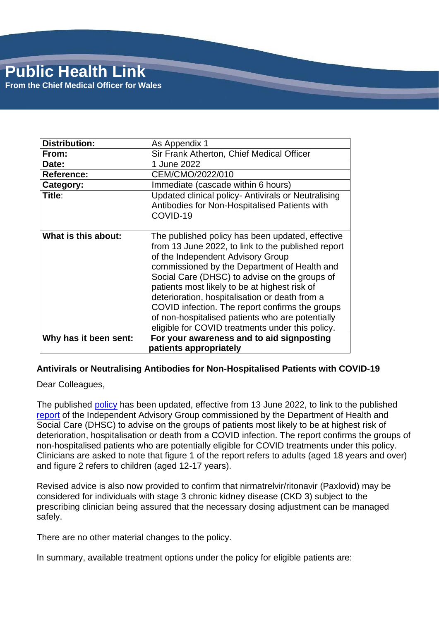| Distribution:         | As Appendix 1                                                                                                                                                                                                                                                                                                                                                                                                                                                                                              |
|-----------------------|------------------------------------------------------------------------------------------------------------------------------------------------------------------------------------------------------------------------------------------------------------------------------------------------------------------------------------------------------------------------------------------------------------------------------------------------------------------------------------------------------------|
| From:                 | Sir Frank Atherton, Chief Medical Officer                                                                                                                                                                                                                                                                                                                                                                                                                                                                  |
| Date:                 | 1 June 2022                                                                                                                                                                                                                                                                                                                                                                                                                                                                                                |
| <b>Reference:</b>     | CEM/CMO/2022/010                                                                                                                                                                                                                                                                                                                                                                                                                                                                                           |
| Category:             | Immediate (cascade within 6 hours)                                                                                                                                                                                                                                                                                                                                                                                                                                                                         |
| Title:                | Updated clinical policy- Antivirals or Neutralising<br>Antibodies for Non-Hospitalised Patients with<br>COVID-19                                                                                                                                                                                                                                                                                                                                                                                           |
| What is this about:   | The published policy has been updated, effective<br>from 13 June 2022, to link to the published report<br>of the Independent Advisory Group<br>commissioned by the Department of Health and<br>Social Care (DHSC) to advise on the groups of<br>patients most likely to be at highest risk of<br>deterioration, hospitalisation or death from a<br>COVID infection. The report confirms the groups<br>of non-hospitalised patients who are potentially<br>eligible for COVID treatments under this policy. |
| Why has it been sent: | For your awareness and to aid signposting<br>patients appropriately                                                                                                                                                                                                                                                                                                                                                                                                                                        |

### **Antivirals or Neutralising Antibodies for Non-Hospitalised Patients with COVID-19**

Dear Colleagues,

The published [policy](https://awttc.nhs.wales/covid-19-therapeutic-hub/covid-19-therapies-alerts-and-advice/) has been updated, effective from 13 June 2022, to link to the published [report](https://www.gov.uk/government/publications/higher-risk-patients-eligible-for-covid-19-treatments-independent-advisory-group-report) of the Independent Advisory Group commissioned by the Department of Health and Social Care (DHSC) to advise on the groups of patients most likely to be at highest risk of deterioration, hospitalisation or death from a COVID infection. The report confirms the groups of non-hospitalised patients who are potentially eligible for COVID treatments under this policy. Clinicians are asked to note that figure 1 of the report refers to adults (aged 18 years and over) and figure 2 refers to children (aged 12-17 years).

Revised advice is also now provided to confirm that nirmatrelvir/ritonavir (Paxlovid) may be considered for individuals with stage 3 chronic kidney disease (CKD 3) subject to the prescribing clinician being assured that the necessary dosing adjustment can be managed safely.

There are no other material changes to the policy.

In summary, available treatment options under the policy for eligible patients are: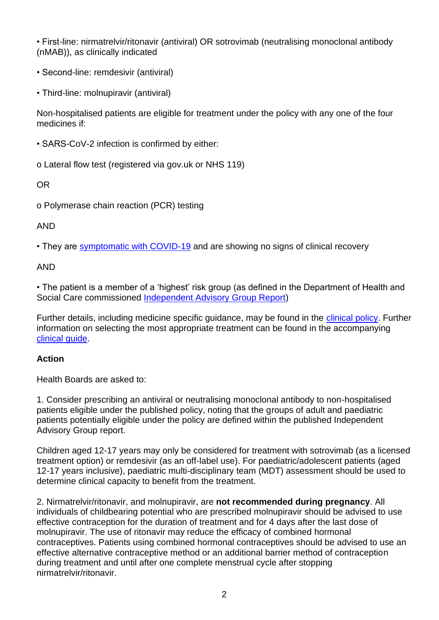• First-line: nirmatrelvir/ritonavir (antiviral) OR sotrovimab (neutralising monoclonal antibody (nMAB)), as clinically indicated

- Second-line: remdesivir (antiviral)
- Third-line: molnupiravir (antiviral)

Non-hospitalised patients are eligible for treatment under the policy with any one of the four medicines if:

• SARS-CoV-2 infection is confirmed by either:

o Lateral flow test (registered via gov.uk or NHS 119)

OR

o Polymerase chain reaction (PCR) testing

# AND

• They are [symptomatic with COVID-19](https://www.nhs.uk/conditions/coronavirus-covid-19/symptoms/) and are showing no signs of clinical recovery

AND

• The patient is a member of a 'highest' risk group (as defined in the Department of Health and Social Care commissioned **Independent Advisory Group Report**)

Further details, including medicine specific guidance, may be found in the [clinical policy.](https://awttc.nhs.wales/covid-19-therapeutic-hub/covid-19-therapies-alerts-and-advice/) Further information on selecting the most appropriate treatment can be found in the accompanying [clinical guide.](https://awttc.nhs.wales/covid-19-therapeutic-hub/covid-19-therapies-alerts-and-advice/)

# **Action**

Health Boards are asked to:

1. Consider prescribing an antiviral or neutralising monoclonal antibody to non-hospitalised patients eligible under the published policy, noting that the groups of adult and paediatric patients potentially eligible under the policy are defined within the published Independent Advisory Group report.

Children aged 12-17 years may only be considered for treatment with sotrovimab (as a licensed treatment option) or remdesivir (as an off-label use). For paediatric/adolescent patients (aged 12-17 years inclusive), paediatric multi-disciplinary team (MDT) assessment should be used to determine clinical capacity to benefit from the treatment.

2. Nirmatrelvir/ritonavir, and molnupiravir, are **not recommended during pregnancy**. All individuals of childbearing potential who are prescribed molnupiravir should be advised to use effective contraception for the duration of treatment and for 4 days after the last dose of molnupiravir. The use of ritonavir may reduce the efficacy of combined hormonal contraceptives. Patients using combined hormonal contraceptives should be advised to use an effective alternative contraceptive method or an additional barrier method of contraception during treatment and until after one complete menstrual cycle after stopping nirmatrelvir/ritonavir.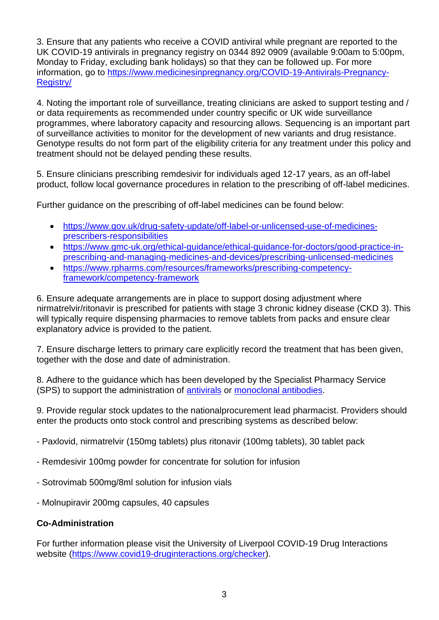3. Ensure that any patients who receive a COVID antiviral while pregnant are reported to the UK COVID-19 antivirals in pregnancy registry on 0344 892 0909 (available 9:00am to 5:00pm, Monday to Friday, excluding bank holidays) so that they can be followed up. For more information, go to [https://www.medicinesinpregnancy.org/COVID-19-Antivirals-Pregnancy-](https://www.medicinesinpregnancy.org/COVID-19-Antivirals-Pregnancy-Registry/)[Registry/](https://www.medicinesinpregnancy.org/COVID-19-Antivirals-Pregnancy-Registry/)

4. Noting the important role of surveillance, treating clinicians are asked to support testing and / or data requirements as recommended under country specific or UK wide surveillance programmes, where laboratory capacity and resourcing allows. Sequencing is an important part of surveillance activities to monitor for the development of new variants and drug resistance. Genotype results do not form part of the eligibility criteria for any treatment under this policy and treatment should not be delayed pending these results.

5. Ensure clinicians prescribing remdesivir for individuals aged 12-17 years, as an off-label product, follow local governance procedures in relation to the prescribing of off-label medicines.

Further guidance on the prescribing of off-label medicines can be found below:

- [https://www.gov.uk/drug-safety-update/off-label-or-unlicensed-use-of-medicines](https://www.gov.uk/drug-safety-update/off-label-or-unlicensed-use-of-medicines-prescribers-responsibilities)[prescribers-responsibilities](https://www.gov.uk/drug-safety-update/off-label-or-unlicensed-use-of-medicines-prescribers-responsibilities)
- [https://www.gmc-uk.org/ethical-guidance/ethical-guidance-for-doctors/good-practice-in](https://www.gmc-uk.org/ethical-guidance/ethical-guidance-for-doctors/good-practice-in-prescribing-and-managing-medicines-and-devices/prescribing-unlicensed-medicines)[prescribing-and-managing-medicines-and-devices/prescribing-unlicensed-medicines](https://www.gmc-uk.org/ethical-guidance/ethical-guidance-for-doctors/good-practice-in-prescribing-and-managing-medicines-and-devices/prescribing-unlicensed-medicines)
- [https://www.rpharms.com/resources/frameworks/prescribing-competency](https://www.rpharms.com/resources/frameworks/prescribing-competency-framework/competency-framework)[framework/competency-framework](https://www.rpharms.com/resources/frameworks/prescribing-competency-framework/competency-framework)

6. Ensure adequate arrangements are in place to support dosing adjustment where nirmatrelvir/ritonavir is prescribed for patients with stage 3 chronic kidney disease (CKD 3). This will typically require dispensing pharmacies to remove tablets from packs and ensure clear explanatory advice is provided to the patient.

7. Ensure discharge letters to primary care explicitly record the treatment that has been given, together with the dose and date of administration.

8. Adhere to the guidance which has been developed by the Specialist Pharmacy Service (SPS) to support the administration of [antivirals](https://www.sps.nhs.uk/home/guidance/covid-19-treatments/oral-antivirals/) or [monoclonal antibodies.](https://www.sps.nhs.uk/home/guidance/covid-19-treatments/neutralising-monoclonal-antibodies/)

9. Provide regular stock updates to the nationalprocurement lead pharmacist. Providers should enter the products onto stock control and prescribing systems as described below:

- Paxlovid, nirmatrelvir (150mg tablets) plus ritonavir (100mg tablets), 30 tablet pack

- Remdesivir 100mg powder for concentrate for solution for infusion
- Sotrovimab 500mg/8ml solution for infusion vials
- Molnupiravir 200mg capsules, 40 capsules

### **Co-Administration**

For further information please visit the University of Liverpool COVID-19 Drug Interactions website [\(https://www.covid19-druginteractions.org/checker\)](https://www.covid19-druginteractions.org/checker).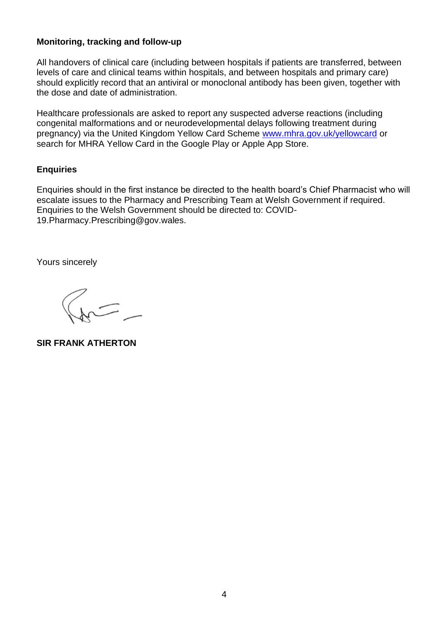#### **Monitoring, tracking and follow-up**

All handovers of clinical care (including between hospitals if patients are transferred, between levels of care and clinical teams within hospitals, and between hospitals and primary care) should explicitly record that an antiviral or monoclonal antibody has been given, together with the dose and date of administration.

Healthcare professionals are asked to report any suspected adverse reactions (including congenital malformations and or neurodevelopmental delays following treatment during pregnancy) via the United Kingdom Yellow Card Scheme [www.mhra.gov.uk/yellowcard](file:///C:/Users/an123195/AppData/Local/Microsoft/Windows/INetCache/Content.Outlook/2L12QCXM/www.mhra.gov.uk/yellowcard) or search for MHRA Yellow Card in the Google Play or Apple App Store.

### **Enquiries**

Enquiries should in the first instance be directed to the health board's Chief Pharmacist who will escalate issues to the Pharmacy and Prescribing Team at Welsh Government if required. Enquiries to the Welsh Government should be directed to: COVID-19.Pharmacy.Prescribing@gov.wales.

Yours sincerely

**SIR FRANK ATHERTON**